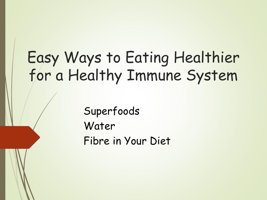#### Easy Ways to Eating Healthier for a Healthy Immune System

Superfoods Water Fibre in Your Diet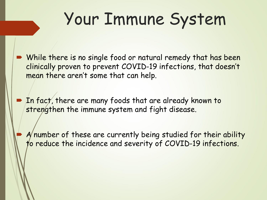## Your Immune System

- While there is no single food or natural remedy that has been clinically proven to prevent COVID-19 infections, that doesn't mean there aren't some that can help.
- **The fact, there are many foods that are already known to** strengthen the immune system and fight disease.
	- A number of these are currently being studied for their ability to reduce the incidence and severity of COVID-19 infections.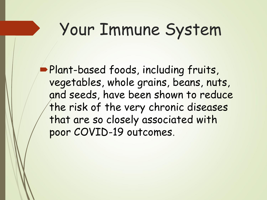#### Your Immune System

**Plant-based foods, including fruits,** vegetables, whole grains, beans, nuts, and seeds, have been shown to reduce the risk of the very chronic diseases that are so closely associated with poor COVID-19 outcomes.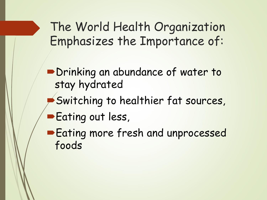The World Health Organization Emphasizes the Importance of:

**Drinking an abundance of water to** stay hydrated

- Switching to healthier fat sources,
- **Eating out less,**

**Eating more fresh and unprocessed** foods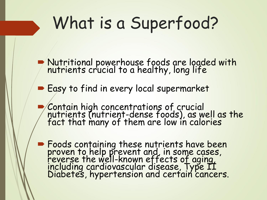## What is a Superfood?

- Nutritional powerhouse foods are loaded with nutrients crucial to a healthy, long life
- **Easy to find in every local supermarket**
- Contain high concentrations of crucial nutrients (nutrient-dense foods), as well as the fact that many of them are low in calories
- **Foods containing these nutrients have been** proven to help prevent and, in some cases, reverse the well-known effects of aging, including cardiovascular disease, Type II Diabetes, hypertension and certain cancers.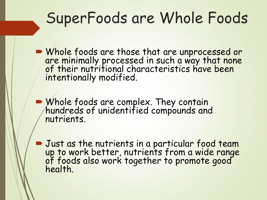#### SuperFoods are Whole Foods

Whole foods are those that are unprocessed or are minimally processed in such a way that none of their nutritional characteristics have been intentionally modified.

**Whole foods are complex. They contain** hundreds of unidentified compounds and nutrients.

**Just as the nutrients in a particular food team** up to work better, nutrients from a wide range of foods also work together to promote good health.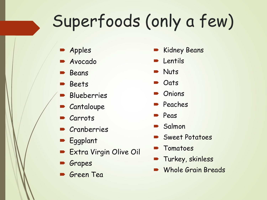# Superfoods (only a few)

- **Apples**
- Avocado
- **Beans**
- **Beets**
- **Blueberries**
- **Cantaloupe**
- Carrots
- **Cranberries**
- **Eggplant**
- **Extra Virgin Olive Oil**
- Grapes
- **Green** Tea
- **Kidney Beans**
- Lentils
- **Nuts**
- **Oats**
- **Onions**
- Peaches
- Peas
- Salmon
- Sweet Potatoes
- Tomatoes
- Turkey, skinless
- Whole Grain Breads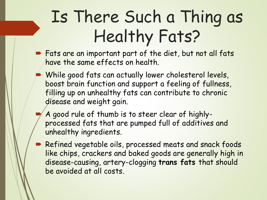## Is There Such a Thing as Healthy Fats?

- **Fats are an important part of the diet, but not all fats** have the same effects on health.
	- While good fats can actually lower cholesterol levels, boost brain function and support a feeling of fullness, filling up on unhealthy fats can contribute to chronic disease and weight gain.
	- A good rule of thumb is to steer clear of highlyprocessed fats that are pumped full of additives and unhealthy ingredients.
	- Refined vegetable oils, processed meats and snack foods like chips, crackers and baked goods are generally high in disease-causing, artery-clogging **trans fats** that should be avoided at all costs.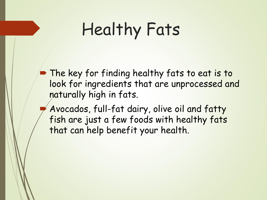## Healthy Fats

**The key for finding healthy fats to eat is to** look for ingredients that are unprocessed and naturally high in fats.

 Avocados, full-fat dairy, olive oil and fatty fish are just a few foods with healthy fats that can help benefit your health.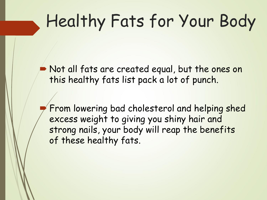## Healthy Fats for Your Body

 Not all fats are created equal, but the ones on this healthy fats list pack a lot of punch.

 From lowering bad cholesterol and helping shed excess weight to giving you shiny hair and strong nails, your body will reap the benefits of these healthy fats.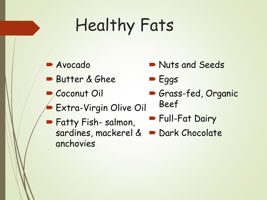## Healthy Fats

- Avocado
- Butter & Ghee
- Coconut Oil
- Extra-Virgin Olive Oil
- **Nuts and Seeds**
- $\blacktriangleright$  Eggs
- Grass-fed, Organic Beef
- Full-Fat Dairy
- **Fatty Fish-salmon,** sardines, mackerel & anchovies Dark Chocolate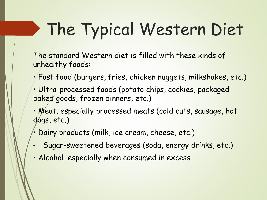# The Typical Western Diet

The standard Western diet is filled with these kinds of unhealthy foods:

- Fast food (burgers, fries, chicken nuggets, milkshakes, etc.)
- Ultra-processed foods (potato chips, cookies, packaged baked goods, frozen dinners, etc.)
- Meat, especially processed meats (cold cuts, sausage, hot dogs, etc.)
- Dairy products (milk, ice cream, cheese, etc.)
- Sugar-sweetened beverages (soda, energy drinks, etc.)
- Alcohol, especially when consumed in excess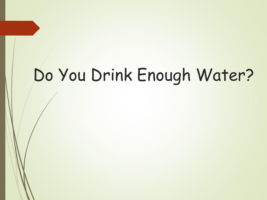### Do You Drink Enough Water?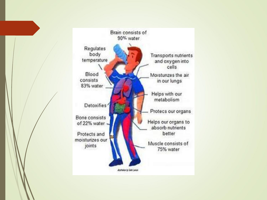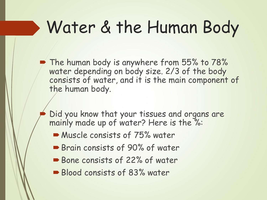## Water & the Human Body

The human body is anywhere from 55% to 78% water depending on body size. 2/3 of the body consists of water, and it is the main component of the human body.

- Did you know that your tissues and organs are mainly made up of water? Here is the %:
	- Muscle consists of 75% water
	- Brain consists of 90% of water
	- Bone consists of 22% of water
	- Blood consists of 83% water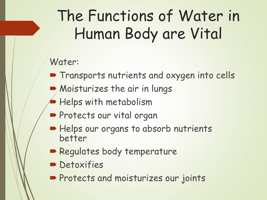#### The Functions of Water in Human Body are Vital

#### Water:

- **Transports nutrients and oxygen into cells**
- Moisturizes the air in lungs
	- Helps with metabolism
- **Protects our vital organ**
- Helps our organs to absorb nutrients better
- **Regulates body temperature**
- **Detoxifies**
- **Protects and moisturizes our joints**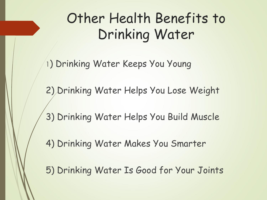#### Other Health Benefits to Drinking Water

1) Drinking Water Keeps You Young

2) Drinking Water Helps You Lose Weight

3) Drinking Water Helps You Build Muscle

4) Drinking Water Makes You Smarter

5) Drinking Water Is Good for Your Joints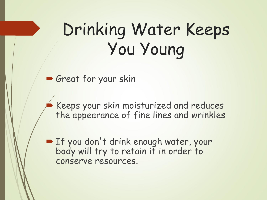## Drinking Water Keeps You Young

Great for your skin

 Keeps your skin moisturized and reduces the appearance of fine lines and wrinkles

**If you don't drink enough water, your** body will try to retain it in order to conserve resources.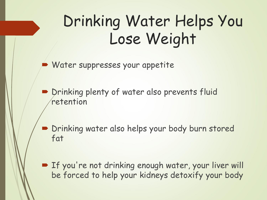#### Drinking Water Helps You Lose Weight

Water suppresses your appetite

**P** Drinking plenty of water also prevents fluid retention

 Drinking water also helps your body burn stored fat

**Fig. 15 You're not drinking enough water, your liver will** be forced to help your kidneys detoxify your body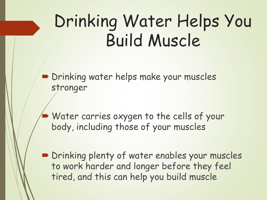## Drinking Water Helps You Build Muscle

**Drinking water helps make your muscles** stronger

 Water carries oxygen to the cells of your body, including those of your muscles

**Drinking plenty of water enables your muscles** to work harder and longer before they feel tired, and this can help you build muscle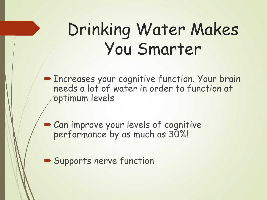#### Drinking Water Makes You Smarter

**Example 2 Finds Theoretic Exercises System** Finderson. Your brain needs a lot of water in order to function at optimum levels

Can improve your levels of cognitive performance by as much as 30%!

Supports nerve function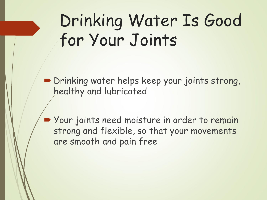## Drinking Water Is Good for Your Joints

Drinking water helps keep your joints strong, healthy and lubricated

Vour joints need moisture in order to remain strong and flexible, so that your movements are smooth and pain free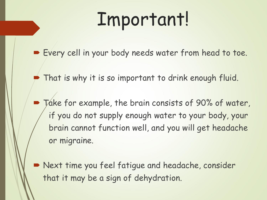# Important!

Every cell in your body needs water from head to toe.

That is why it is so important to drink enough fluid.

 Take for example, the brain consists of 90% of water, if you do not supply enough water to your body, your brain cannot function well, and you will get headache or migraine.

 Next time you feel fatigue and headache, consider that it may be a sign of dehydration.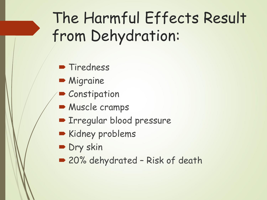#### The Harmful Effects Result from Dehydration:

- **Tiredness**
- **Migraine**
- **Constipation**
- **Muscle cramps**
- **Filte Tregular blood pressure**
- Kidney problems
- Dry skin
- 20% dehydrated Risk of death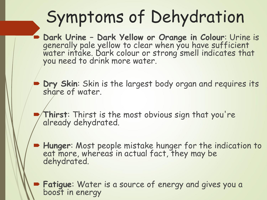### Symptoms of Dehydration

- **Dark Urine – Dark Yellow or Orange in Colour**: Urine is generally pale yellow to clear when you have sufficient water intake. Dark colour or strong smell indicates that you need to drink more water.
- **Dry Skin**: Skin is the largest body organ and requires its share of water.
- **Thirst**: Thirst is the most obvious sign that you're already dehydrated.
- **Hunger**: Most people mistake hunger for the indication to eat more, whereas in actual fact, they may be dehydrated.
	- **Fatigue**: Water is a source of energy and gives you a boost in energy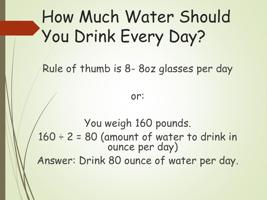## How Much Water Should You Drink Every Day?

Rule of thumb is 8- 8oz glasses per day

or:

You weigh 160 pounds.  $160 \div 2 = 80$  (amount of water to drink in ounce per day) Answer: Drink 80 ounce of water per day.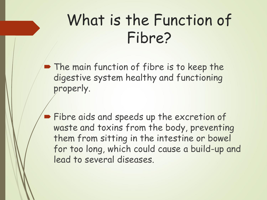#### What is the Function of Fibre?

**The main function of fibre is to keep the** digestive system healthy and functioning properly.

**Fibre aids and speeds up the excretion of** waste and toxins from the body, preventing them from sitting in the intestine or bowel for too long, which could cause a build-up and lead to several diseases.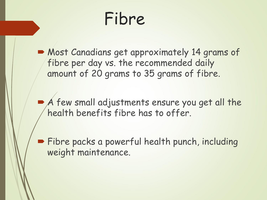Fibre

**Most Canadians get approximately 14 grams of** fibre per day vs. the recommended daily amount of 20 grams to 35 grams of fibre.

 A few small adjustments ensure you get all the health benefits fibre has to offer.

**Fibre packs a powerful health punch, including** weight maintenance.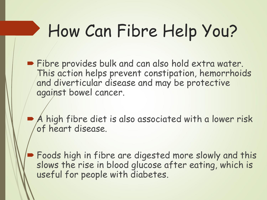## How Can Fibre Help You?

- **Fibre provides bulk and can also hold extra water.** This action helps prevent constipation, hemorrhoids and diverticular disease and may be protective against bowel cancer.
	- A high fibre diet is also associated with a lower risk of heart disease.
	- Foods high in fibre are digested more slowly and this slows the rise in blood glucose after eating, which is useful for people with diabetes.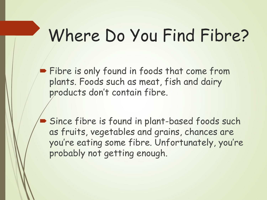#### Where Do You Find Fibre?

Fibre is only found in foods that come from plants. Foods such as meat, fish and dairy products don't contain fibre.

 Since fibre is found in plant-based foods such as fruits, vegetables and grains, chances are you're eating some fibre. Unfortunately, you're probably not getting enough.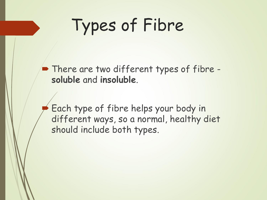## Types of Fibre

• There are two different types of fibre **soluble** and **insoluble**.

 Each type of fibre helps your body in different ways, so a normal, healthy diet should include both types.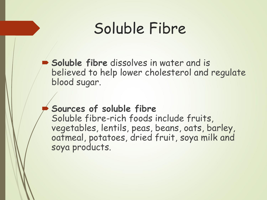#### Soluble Fibre

 **Soluble fibre** dissolves in water and is believed to help lower cholesterol and regulate blood sugar.

#### **Sources of soluble fibre**

Soluble fibre-rich foods include fruits, vegetables, lentils, peas, beans, oats, barley, oatmeal, potatoes, dried fruit, soya milk and soya products.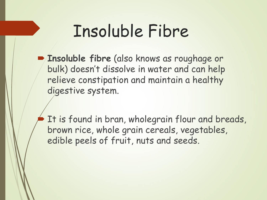#### Insoluble Fibre

 **Insoluble fibre** (also knows as roughage or bulk) doesn't dissolve in water and can help relieve constipation and maintain a healthy digestive system.

 It is found in bran, wholegrain flour and breads, brown rice, whole grain cereals, vegetables, edible peels of fruit, nuts and seeds.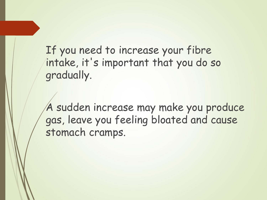If you need to increase your fibre intake, it's important that you do so gradually.

A sudden increase may make you produce gas, leave you feeling bloated and cause stomach cramps.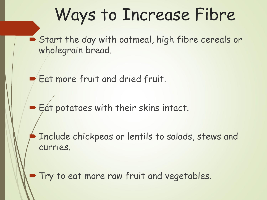#### Ways to Increase Fibre

Start the day with oatmeal, high fibre cereals or wholegrain bread.

Eat more fruit and dried fruit.

Eat potatoes with their skins intact.

 Include chickpeas or lentils to salads, stews and curries.

Try to eat more raw fruit and vegetables.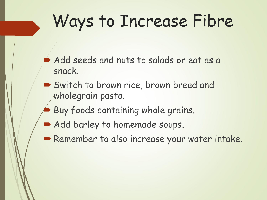## Ways to Increase Fibre

- Add seeds and nuts to salads or eat as a snack.
- Switch to brown rice, brown bread and wholegrain pasta.
- Buy foods containing whole grains.
- Add barley to homemade soups.
- Remember to also increase your water intake.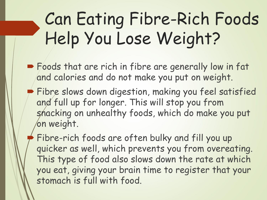## Can Eating Fibre-Rich Foods Help You Lose Weight?

- **Foods that are rich in fibre are generally low in fat** and calories and do not make you put on weight.
- **Fibre slows down digestion, making you feel satisfied** and full up for longer. This will stop you from snacking on unhealthy foods, which do make you put on weight.

 Fibre-rich foods are often bulky and fill you up quicker as well, which prevents you from overeating. This type of food also slows down the rate at which you eat, giving your brain time to register that your stomach is full with food.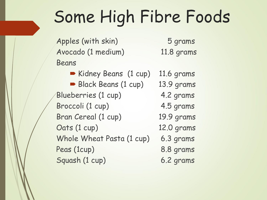## Some High Fibre Foods

Apples (with skin) 5 grams Avocado (1 medium) 11.8 grams Beans

Kidney Beans (1 cup) 11.6 grams Black Beans (1 cup) 13.9 grams Blueberries (1 cup) 4.2 grams Broccoli (1 cup) 4.5 grams Bran Cereal (1 cup) 19.9 grams Oats (1 cup) 12.0 grams Whole Wheat Pasta (1 cup) 6.3 grams Peas (1cup) 8.8 grams Squash (1 cup) 6.2 grams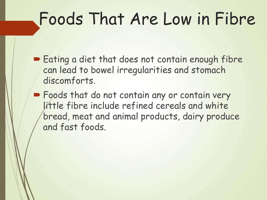## Foods That Are Low in Fibre

- Eating a diet that does not contain enough fibre can lead to bowel irregularities and stomach discomforts.
- **Foods that do not contain any or contain very** little fibre include refined cereals and white bread, meat and animal products, dairy produce and fast foods.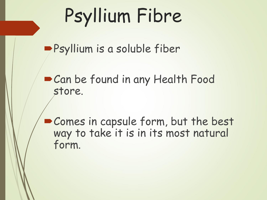# Psyllium Fibre

Psyllium is a soluble fiber

Can be found in any Health Food store.

Comes in capsule form, but the best way to take it is in its most natural form.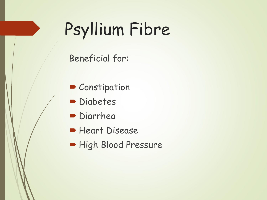## Psyllium Fibre

Beneficial for:

- Constipation
- **Diabetes**
- **Diarrhea**
- **Heart Disease**
- High Blood Pressure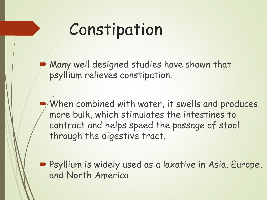#### Constipation

 Many well designed studies have shown that psyllium relieves constipation.

 When combined with water, it swells and produces more bulk, which stimulates the intestines to contract and helps speed the passage of stool through the digestive tract.

 Psyllium is widely used as a laxative in Asia, Europe, and North America.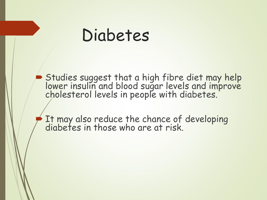#### Diabetes

Studies suggest that a high fibre diet may help lower insulin and blood sugar levels and improve cholesterol levels in people with diabetes.

 $\blacktriangleright$  It may also reduce the chance of developing diabetes in those who are at risk.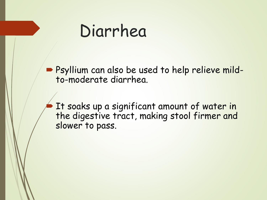#### Diarrhea

**Psyllium can also be used to help relieve mild**to-moderate diarrhea.

 It soaks up a significant amount of water in the digestive tract, making stool firmer and slower to pass.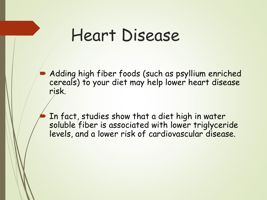#### Heart Disease

**Adding high fiber foods (such as psyllium enriched** cereals) to your diet may help lower heart disease risk.

 In fact, studies show that a diet high in water soluble fiber is associated with lower triglyceride levels, and a lower risk of cardiovascular disease.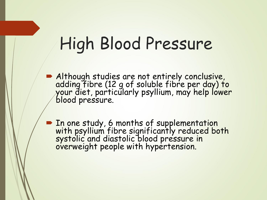### High Blood Pressure

- Although studies are not entirely conclusive, adding fibre (12 g of soluble fibre per day) to your diet, particularly psyllium, may help lower blood pressure.
- **In one study, 6 months of supplementation** with psyllium fibre significantly reduced both systolic and diastolic blood pressure in overweight people with hypertension.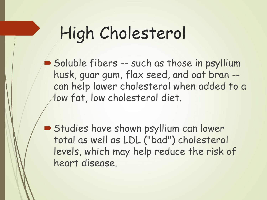## High Cholesterol

- Soluble fibers -- such as those in psyllium husk, guar gum, flax seed, and oat bran - can help lower cholesterol when added to a low fat, low cholesterol diet.
- Studies have shown psyllium can lower total as well as LDL ("bad") cholesterol levels, which may help reduce the risk of heart disease.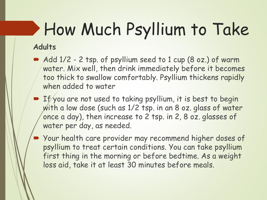# How Much Psyllium to Take

#### **Adults**

- Add 1/2 2 tsp. of psyllium seed to 1 cup (8 oz.) of warm water. Mix well, then drink immediately before it becomes too thick to swallow comfortably. Psyllium thickens rapidly when added to water
- **TH** You are not used to taking psyllium, it is best to begin with a low dose (such as 1/2 tsp. in an 8 oz. glass of water once a day), then increase to 2 tsp. in 2, 8 oz. glasses of water per day, as needed.
- Your health care provider may recommend higher doses of psyllium to treat certain conditions. You can take psyllium first thing in the morning or before bedtime. As a weight loss aid, take it at least 30 minutes before meals.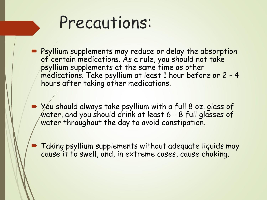#### Precautions:

- **Psyllium supplements may reduce or delay the absorption** of certain medications. As a rule, you should not take psyllium supplements at the same time as other medications. Take psyllium at least 1 hour before or 2 - 4 hours after taking other medications.
- You should always take psyllium with a full 8 oz. glass of water, and you should drink at least 6 - 8 full glasses of water throughout the day to avoid constipation.
	- Taking psyllium supplements without adequate liquids may cause it to swell, and, in extreme cases, cause choking.